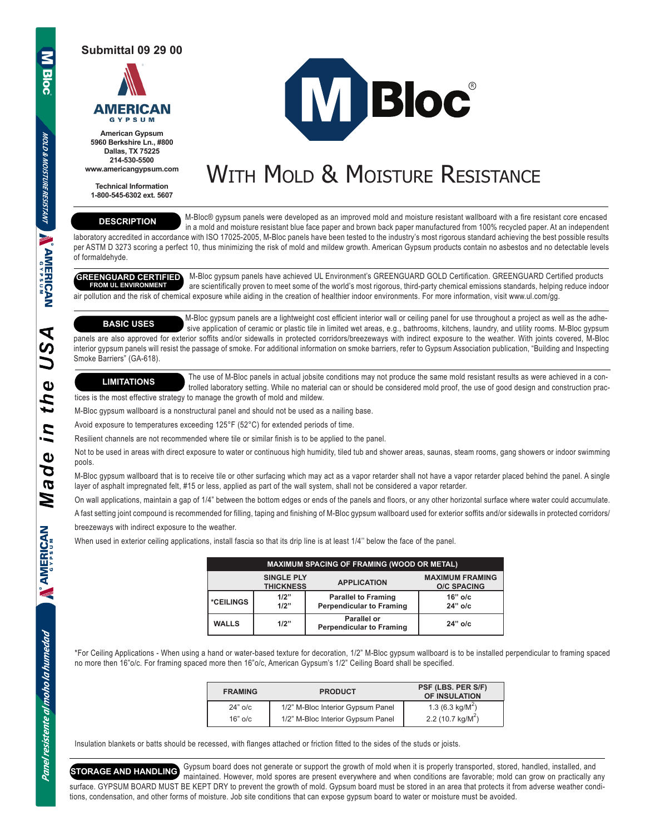**Submittal 09 29 00**



**American Gypsum 5960 Berkshire Ln., #800 Dallas, TX 75225 214-530-5500 www.americangypsum.com**

**Technical Information 1-800-545-6302 ext. 5607** **MBloc**®

# WITH MOLD & MOISTURE RESISTANCE

# **DESCRIPTION**

 M-Bloc® gypsum panels were developed as an improved mold and moisture resistant wallboard with a fire resistant core encased in a mold and moisture resistant blue face paper and brown back paper manufactured from 100% recycled paper. At an independent laboratory accredited in accordance with ISO 17025-2005, M-Bloc panels have been tested to the industry's most rigorous standard achieving the best possible results

per ASTM D 3273 scoring a perfect 10, thus minimizing the risk of mold and mildew growth. American Gypsum products contain no asbestos and no detectable levels of formaldehyde.

## **GREENGUARD CERTIFIED FROM UL ENVIRONMENT**

 M-Bloc gypsum panels have achieved UL Environment's GREENGUARD GOLD Certification. GREENGUARD Certified products are scientifically proven to meet some of the world's most rigorous, third-party chemical emissions standards, helping reduce indoor air pollution and the risk of chemical exposure while aiding in the creation of healthier indoor environments. For more information, visit www.ul.com/gg.

### **BASIC USES**

 M-Bloc gypsum panels are a lightweight cost efficient interior wall or ceiling panel for use throughout a project as well as the adhe sive application of ceramic or plastic tile in limited wet areas, e.g., bathrooms, kitchens, laundry, and utility rooms. M-Bloc gypsum panels are also approved for exterior soffits and/or sidewalls in protected corridors/breezeways with indirect exposure to the weather. With joints covered, M-Bloc interior gypsum panels will resist the passage of smoke. For additional information on smoke barriers, refer to Gypsum Association publication, "Building and Inspecting Smoke Barriers" (GA-618).

**LIMITATIONS** The use of M-Bloc panels in actual jobsite conditions may not produce the same mold resistant results as were achieved in a con trolled laboratory setting. While no material can or should be considered mold proof, the use of good design and construction practices is the most effective strategy to manage the growth of mold and mildew.

M-Bloc gypsum wallboard is a nonstructural panel and should not be used as a nailing base.

Avoid exposure to temperatures exceeding 125°F (52°C) for extended periods of time.

Resilient channels are not recommended where tile or similar finish is to be applied to the panel.

Not to be used in areas with direct exposure to water or continuous high humidity, tiled tub and shower areas, saunas, steam rooms, gang showers or indoor swimming pools.

M-Bloc gypsum wallboard that is to receive tile or other surfacing which may act as a vapor retarder shall not have a vapor retarder placed behind the panel. A single layer of asphalt impregnated felt, #15 or less, applied as part of the wall system, shall not be considered a vapor retarder.

On wall applications, maintain a gap of 1/4" between the bottom edges or ends of the panels and floors, or any other horizontal surface where water could accumulate.

A fast setting joint compound is recommended for filling, taping and finishing of M-Bloc gypsum wallboard used for exterior soffits and/or sidewalls in protected corridors/

breezeways with indirect exposure to the weather.

When used in exterior ceiling applications, install fascia so that its drip line is at least 1/4'' below the face of the panel.

| <b>MAXIMUM SPACING OF FRAMING (WOOD OR METAL)</b> |                                       |                                                               |                                              |  |  |  |
|---------------------------------------------------|---------------------------------------|---------------------------------------------------------------|----------------------------------------------|--|--|--|
|                                                   | <b>SINGLE PLY</b><br><b>THICKNESS</b> | <b>APPLICATION</b>                                            | <b>MAXIMUM FRAMING</b><br><b>O/C SPACING</b> |  |  |  |
| *CEILINGS                                         | 1/2"<br>1/2"                          | <b>Parallel to Framing</b><br><b>Perpendicular to Framing</b> | $16"$ o/c<br>$24"$ o/c                       |  |  |  |
| <b>WALLS</b>                                      | 1/2"                                  | Parallel or<br><b>Perpendicular to Framing</b>                | $24"$ o/c                                    |  |  |  |

\*For Ceiling Applications - When using a hand or water-based texture for decoration, 1/2" M-Bloc gypsum wallboard is to be installed perpendicular to framing spaced no more then 16"o/c. For framing spaced more then 16"o/c, American Gypsum's 1/2" Ceiling Board shall be specified.

| <b>FRAMING</b> | <b>PRODUCT</b>                    | PSF (LBS. PER S/F)<br>OF INSULATION |
|----------------|-----------------------------------|-------------------------------------|
| $24"$ o/c      | 1/2" M-Bloc Interior Gypsum Panel | 1.3 (6.3 kg/ $M^2$ )                |
| $16"$ o/c      | 1/2" M-Bloc Interior Gypsum Panel | 2.2 (10.7 kg/ $M^2$ )               |

Insulation blankets or batts should be recessed, with flanges attached or friction fitted to the sides of the studs or joists.

 Gypsum board does not generate or support the growth of mold when it is properly transported, stored, handled, installed, and maintained. However, mold spores are present everywhere and when conditions are favorable; mold can grow on practically any surface. GYPSUM BOARD MUST BE KEPT DRY to prevent the growth of mold. Gypsum board must be stored in an area that protects it from adverse weather conditions, condensation, and other forms of moisture. Job site conditions that can expose gypsum board to water or moisture must be avoided. **STORAGE AND HANDLING**

 $\overline{\mathscr{L}}$